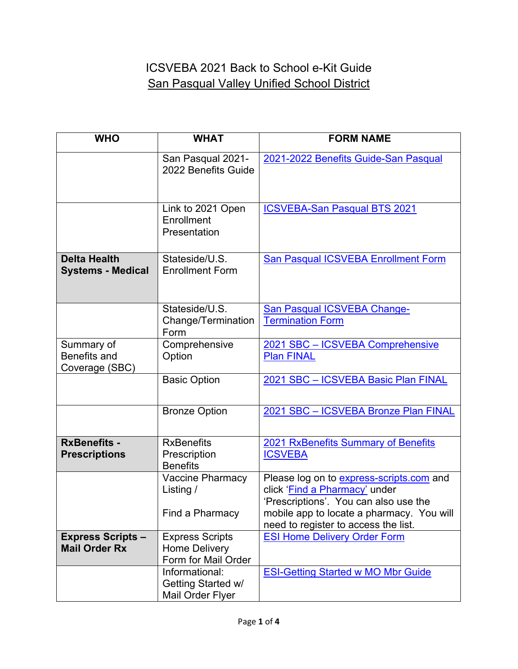## ICSVEBA 2021 Back to School e-Kit Guide San Pasqual Valley Unified School District

| <b>WHO</b>                                          | <b>WHAT</b>                                                           | <b>FORM NAME</b>                                                                                                   |
|-----------------------------------------------------|-----------------------------------------------------------------------|--------------------------------------------------------------------------------------------------------------------|
|                                                     | San Pasqual 2021-<br>2022 Benefits Guide                              | 2021-2022 Benefits Guide-San Pasqual                                                                               |
|                                                     | Link to 2021 Open<br>Enrollment<br>Presentation                       | <b>ICSVEBA-San Pasqual BTS 2021</b>                                                                                |
| <b>Delta Health</b><br><b>Systems - Medical</b>     | Stateside/U.S.<br><b>Enrollment Form</b>                              | San Pasqual ICSVEBA Enrollment Form                                                                                |
|                                                     | Stateside/U.S.<br>Change/Termination<br>Form                          | <b>San Pasqual ICSVEBA Change-</b><br><b>Termination Form</b>                                                      |
| Summary of<br><b>Benefits and</b><br>Coverage (SBC) | Comprehensive<br>Option                                               | 2021 SBC - ICSVEBA Comprehensive<br><b>Plan FINAL</b>                                                              |
|                                                     | <b>Basic Option</b>                                                   | 2021 SBC - ICSVEBA Basic Plan FINAL                                                                                |
|                                                     | <b>Bronze Option</b>                                                  | 2021 SBC - ICSVEBA Bronze Plan FINAL                                                                               |
| <b>RxBenefits -</b><br><b>Prescriptions</b>         | <b>RxBenefits</b><br>Prescription<br><b>Benefits</b>                  | 2021 RxBenefits Summary of Benefits<br><b>ICSVEBA</b>                                                              |
|                                                     | <b>Vaccine Pharmacy</b><br>Listing /                                  | Please log on to express-scripts.com and<br>click 'Find a Pharmacy' under<br>'Prescriptions'. You can also use the |
|                                                     | Find a Pharmacy                                                       | mobile app to locate a pharmacy. You will<br>need to register to access the list.                                  |
| <b>Express Scripts -</b><br><b>Mail Order Rx</b>    | <b>Express Scripts</b><br><b>Home Delivery</b><br>Form for Mail Order | <b>ESI Home Delivery Order Form</b>                                                                                |
|                                                     | Informational:<br>Getting Started w/<br>Mail Order Flyer              | <b>ESI-Getting Started w MO Mbr Guide</b>                                                                          |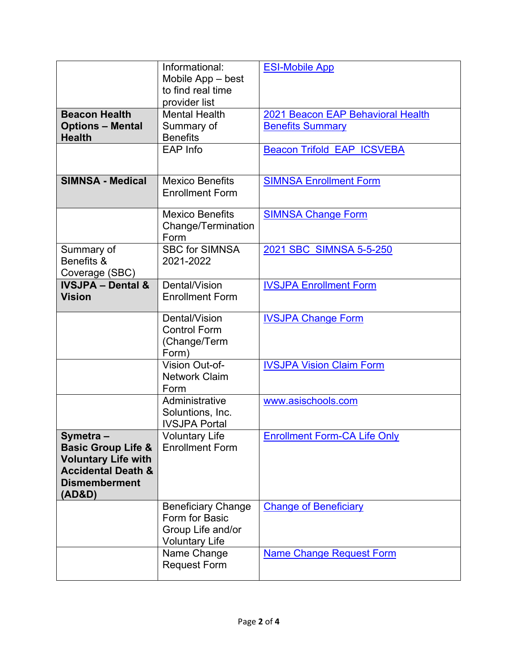|                                                                                                                                            | Informational:<br>Mobile App - best<br>to find real time                                  | <b>ESI-Mobile App</b>                                        |
|--------------------------------------------------------------------------------------------------------------------------------------------|-------------------------------------------------------------------------------------------|--------------------------------------------------------------|
|                                                                                                                                            | provider list                                                                             |                                                              |
| <b>Beacon Health</b><br><b>Options - Mental</b><br><b>Health</b>                                                                           | <b>Mental Health</b><br>Summary of<br><b>Benefits</b>                                     | 2021 Beacon EAP Behavioral Health<br><b>Benefits Summary</b> |
|                                                                                                                                            | EAP Info                                                                                  | <b>Beacon Trifold EAP ICSVEBA</b>                            |
| <b>SIMNSA - Medical</b>                                                                                                                    | <b>Mexico Benefits</b><br><b>Enrollment Form</b>                                          | <b>SIMNSA Enrollment Form</b>                                |
|                                                                                                                                            | <b>Mexico Benefits</b><br>Change/Termination<br>Form                                      | <b>SIMNSA Change Form</b>                                    |
| Summary of<br>Benefits &<br>Coverage (SBC)                                                                                                 | <b>SBC for SIMNSA</b><br>2021-2022                                                        | 2021 SBC SIMNSA 5-5-250                                      |
| <b>IVSJPA - Dental &amp;</b><br><b>Vision</b>                                                                                              | Dental/Vision<br><b>Enrollment Form</b>                                                   | <b>IVSJPA Enrollment Form</b>                                |
|                                                                                                                                            | Dental/Vision<br><b>Control Form</b><br>(Change/Term<br>Form)                             | <b>IVSJPA Change Form</b>                                    |
|                                                                                                                                            | Vision Out-of-<br><b>Network Claim</b><br>Form                                            | <b>IVSJPA Vision Claim Form</b>                              |
|                                                                                                                                            | Administrative<br>Soluntions, Inc.<br><b>IVSJPA Portal</b>                                | www.asischools.com                                           |
| Svmetra-<br><b>Basic Group Life &amp;</b><br><b>Voluntary Life with</b><br><b>Accidental Death &amp;</b><br><b>Dismemberment</b><br>(AD&D) | <b>Voluntary Life</b><br><b>Enrollment Form</b>                                           | <b>Enrollment Form-CA Life Only</b>                          |
|                                                                                                                                            | <b>Beneficiary Change</b><br>Form for Basic<br>Group Life and/or<br><b>Voluntary Life</b> | <b>Change of Beneficiary</b>                                 |
|                                                                                                                                            | Name Change<br><b>Request Form</b>                                                        | <b>Name Change Request Form</b>                              |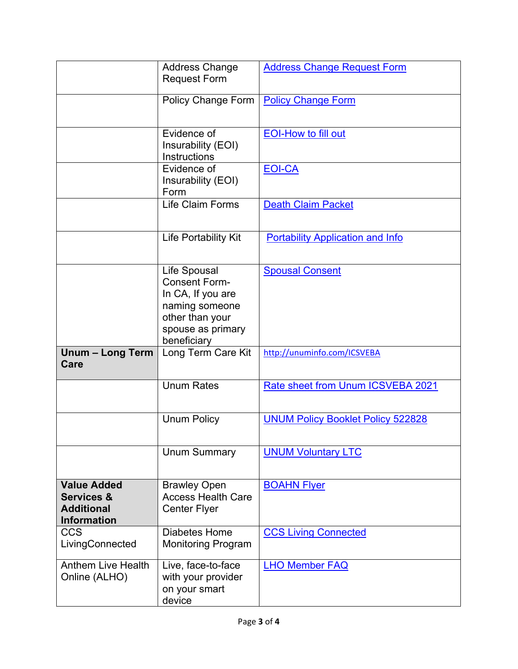|                                                                                        | <b>Address Change</b><br><b>Request Form</b>                                                                                       | <b>Address Change Request Form</b>       |
|----------------------------------------------------------------------------------------|------------------------------------------------------------------------------------------------------------------------------------|------------------------------------------|
|                                                                                        | Policy Change Form                                                                                                                 | <b>Policy Change Form</b>                |
|                                                                                        | Evidence of<br>Insurability (EOI)<br><b>Instructions</b>                                                                           | <b>EOI-How to fill out</b>               |
|                                                                                        | Evidence of<br>Insurability (EOI)<br>Form                                                                                          | <b>EOI-CA</b>                            |
|                                                                                        | <b>Life Claim Forms</b>                                                                                                            | <b>Death Claim Packet</b>                |
|                                                                                        | Life Portability Kit                                                                                                               | <b>Portability Application and Info</b>  |
|                                                                                        | Life Spousal<br><b>Consent Form-</b><br>In CA, If you are<br>naming someone<br>other than your<br>spouse as primary<br>beneficiary | <b>Spousal Consent</b>                   |
| Unum - Long Term<br>Care                                                               | Long Term Care Kit                                                                                                                 | http://unuminfo.com/ICSVEBA              |
|                                                                                        | <b>Unum Rates</b>                                                                                                                  | Rate sheet from Unum ICSVEBA 2021        |
|                                                                                        | <b>Unum Policy</b>                                                                                                                 | <b>UNUM Policy Booklet Policy 522828</b> |
|                                                                                        | <b>Unum Summary</b>                                                                                                                | <b>UNUM Voluntary LTC</b>                |
| <b>Value Added</b><br><b>Services &amp;</b><br><b>Additional</b><br><b>Information</b> | <b>Brawley Open</b><br><b>Access Health Care</b><br><b>Center Flyer</b>                                                            | <b>BOAHN Flyer</b>                       |
| <b>CCS</b><br>LivingConnected                                                          | Diabetes Home<br><b>Monitoring Program</b>                                                                                         | <b>CCS Living Connected</b>              |
| <b>Anthem Live Health</b><br>Online (ALHO)                                             | Live, face-to-face<br>with your provider<br>on your smart<br>device                                                                | <b>LHO Member FAQ</b>                    |